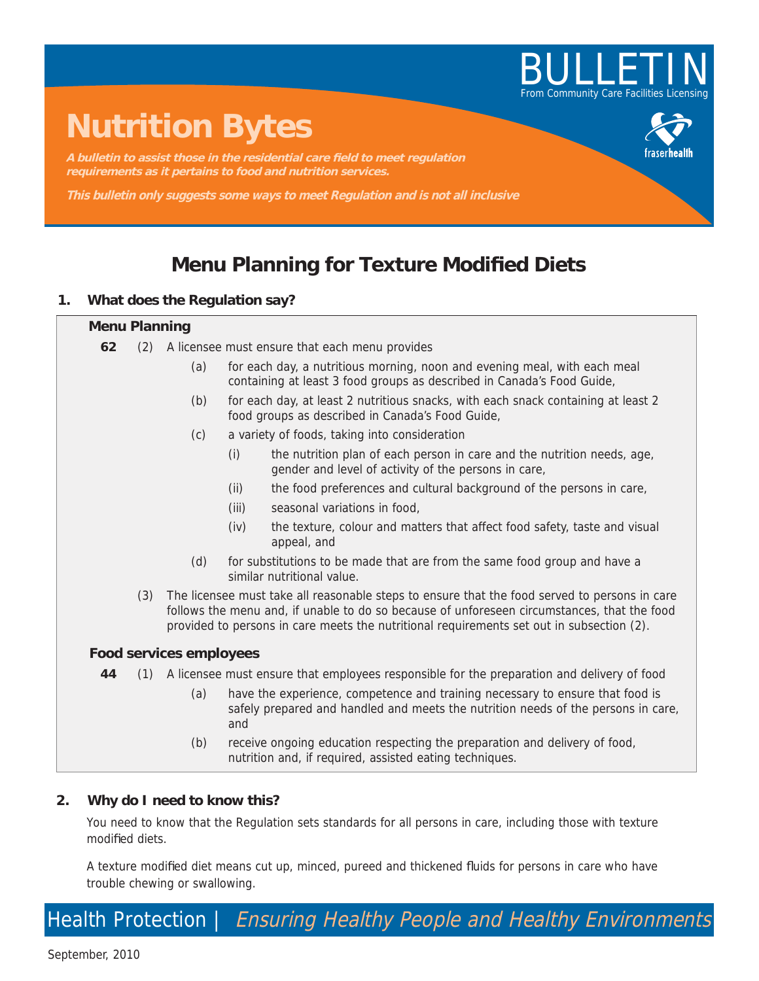

# **Nutrition Bytes**

A bulletin to assist those in the residential care field to meet regulation **requirements as it pertains to food and nutrition services.**

**This bulletin only suggests some ways to meet Regulation and is not all inclusive**

## **Menu Planning for Texture Modified Diets**

#### **1. What does the Regulation say?**

### **Menu Planning 62** (2) A licensee must ensure that each menu provides (a) for each day, a nutritious morning, noon and evening meal, with each meal containing at least 3 food groups as described in Canada's Food Guide, (b) for each day, at least 2 nutritious snacks, with each snack containing at least 2 food groups as described in Canada's Food Guide, (c) a variety of foods, taking into consideration (i) the nutrition plan of each person in care and the nutrition needs, age, gender and level of activity of the persons in care, (ii) the food preferences and cultural background of the persons in care, (iii) seasonal variations in food, (iv) the texture, colour and matters that affect food safety, taste and visual appeal, and (d) for substitutions to be made that are from the same food group and have a similar nutritional value. (3) The licensee must take all reasonable steps to ensure that the food served to persons in care follows the menu and, if unable to do so because of unforeseen circumstances, that the food provided to persons in care meets the nutritional requirements set out in subsection (2). **Food services employees 44** (1) A licensee must ensure that employees responsible for the preparation and delivery of food (a) have the experience, competence and training necessary to ensure that food is safely prepared and handled and meets the nutrition needs of the persons in care, and (b) receive ongoing education respecting the preparation and delivery of food, nutrition and, if required, assisted eating techniques.

#### **2. Why do I need to know this?**

You need to know that the Regulation sets standards for all persons in care, including those with texture modified diets.

A texture modified diet means cut up, minced, pureed and thickened fluids for persons in care who have trouble chewing or swallowing.

Health Protection | Ensuring Healthy People and Healthy Environments